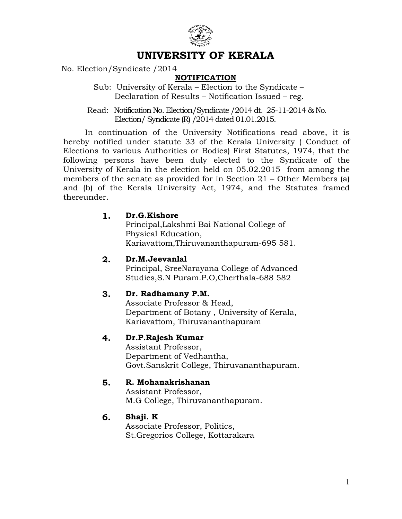

# UNIVERSITY OF KERALA

No. Election/Syndicate /2014

### **NOTIFICATION**

 Sub: University of Kerala – Election to the Syndicate – Declaration of Results – Notification Issued – reg.

 Read: Notification No. Election/Syndicate /2014 dt. 25-11-2014 & No. Election/ Syndicate (R) /2014 dated 01.01.2015.

 In continuation of the University Notifications read above, it is hereby notified under statute 33 of the Kerala University ( Conduct of Elections to various Authorities or Bodies) First Statutes, 1974, that the following persons have been duly elected to the Syndicate of the University of Kerala in the election held on 05.02.2015 from among the members of the senate as provided for in Section 21 – Other Members (a) and (b) of the Kerala University Act, 1974, and the Statutes framed thereunder.

### 1. Dr.G.Kishore

Principal,Lakshmi Bai National College of Physical Education, Kariavattom,Thiruvananthapuram-695 581.

#### 2. Dr.M.Jeevanlal

Principal, SreeNarayana College of Advanced Studies,S.N Puram.P.O,Cherthala-688 582

#### 3. Dr. Radhamany P.M.

Associate Professor & Head, Department of Botany , University of Kerala, Kariavattom, Thiruvananthapuram

#### 4. Dr.P.Rajesh Kumar

Assistant Professor, Department of Vedhantha, Govt.Sanskrit College, Thiruvananthapuram.

#### 5. R. Mohanakrishanan

Assistant Professor, M.G College, Thiruvananthapuram.

#### 6. Shaji. K

Associate Professor, Politics, St.Gregorios College, Kottarakara